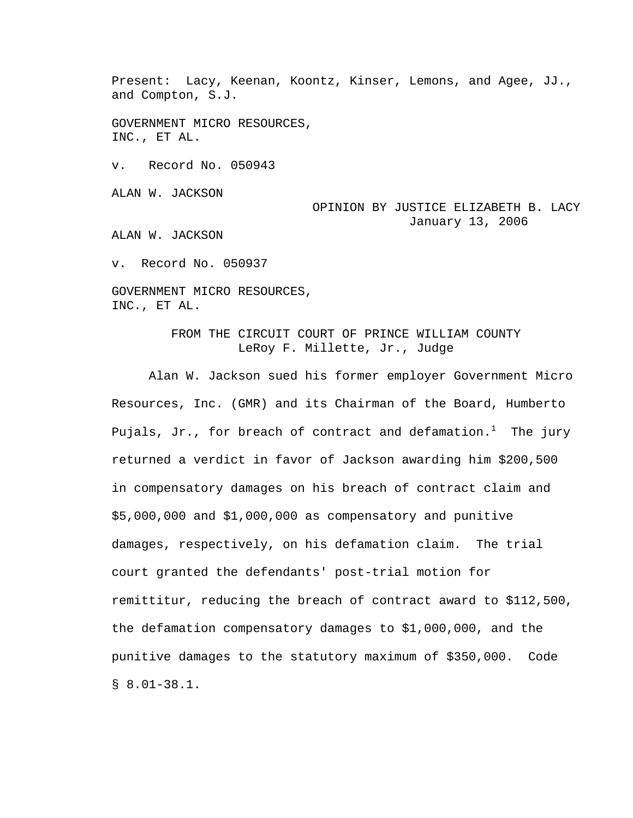Present: Lacy, Keenan, Koontz, Kinser, Lemons, and Agee, JJ., and Compton, S.J.

GOVERNMENT MICRO RESOURCES, INC., ET AL.

v. Record No. 050943

ALAN W. JACKSON

OPINION BY JUSTICE ELIZABETH B. LACY January 13, 2006

ALAN W. JACKSON

v. Record No. 050937

GOVERNMENT MICRO RESOURCES, INC., ET AL.

> FROM THE CIRCUIT COURT OF PRINCE WILLIAM COUNTY LeRoy F. Millette, Jr., Judge

 Alan W. Jackson sued his former employer Government Micro Resources, Inc. (GMR) and its Chairman of the Board, Humberto Pujals, Jr., for breach of contract and defamation. $^1$  The jury returned a verdict in favor of Jackson awarding him \$200,500 in compensatory damages on his breach of contract claim and \$5,000,000 and \$1,000,000 as compensatory and punitive damages, respectively, on his defamation claim. The trial court granted the defendants' post-trial motion for remittitur, reducing the breach of contract award to \$112,500, the defamation compensatory damages to \$1,000,000, and the punitive damages to the statutory maximum of \$350,000. Code § 8.01-38.1.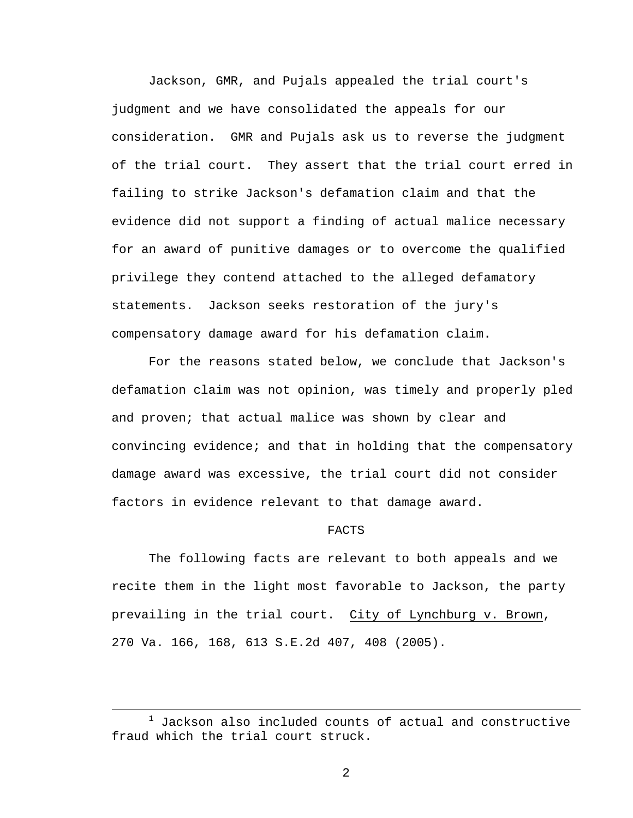Jackson, GMR, and Pujals appealed the trial court's judgment and we have consolidated the appeals for our consideration. GMR and Pujals ask us to reverse the judgment of the trial court. They assert that the trial court erred in failing to strike Jackson's defamation claim and that the evidence did not support a finding of actual malice necessary for an award of punitive damages or to overcome the qualified privilege they contend attached to the alleged defamatory statements. Jackson seeks restoration of the jury's compensatory damage award for his defamation claim.

For the reasons stated below, we conclude that Jackson's defamation claim was not opinion, was timely and properly pled and proven; that actual malice was shown by clear and convincing evidence; and that in holding that the compensatory damage award was excessive, the trial court did not consider factors in evidence relevant to that damage award.

#### FACTS

The following facts are relevant to both appeals and we recite them in the light most favorable to Jackson, the party prevailing in the trial court. City of Lynchburg v. Brown, 270 Va. 166, 168, 613 S.E.2d 407, 408 (2005).

 $\overline{\phantom{a}}$  $1$  Jackson also included counts of actual and constructive fraud which the trial court struck.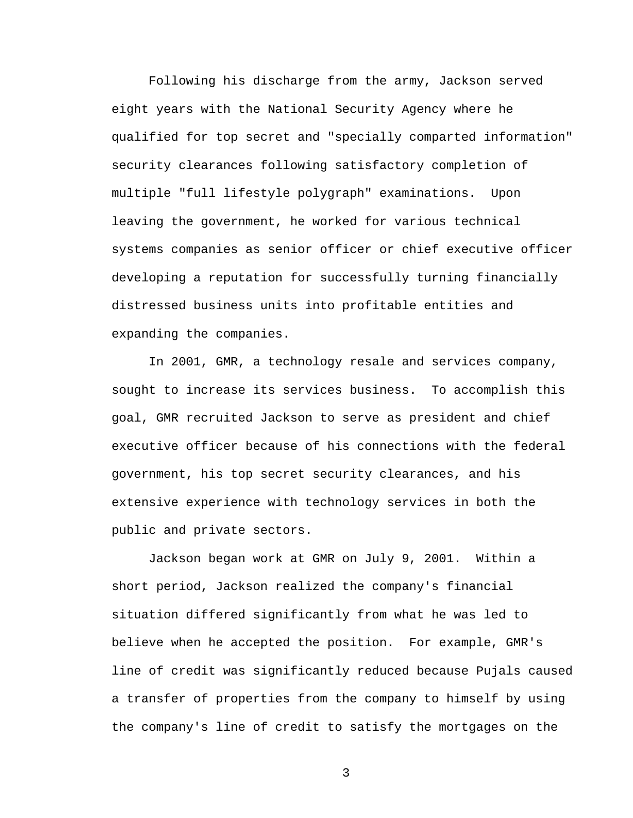Following his discharge from the army, Jackson served eight years with the National Security Agency where he qualified for top secret and "specially comparted information" security clearances following satisfactory completion of multiple "full lifestyle polygraph" examinations. Upon leaving the government, he worked for various technical systems companies as senior officer or chief executive officer developing a reputation for successfully turning financially distressed business units into profitable entities and expanding the companies.

In 2001, GMR, a technology resale and services company, sought to increase its services business. To accomplish this goal, GMR recruited Jackson to serve as president and chief executive officer because of his connections with the federal government, his top secret security clearances, and his extensive experience with technology services in both the public and private sectors.

Jackson began work at GMR on July 9, 2001. Within a short period, Jackson realized the company's financial situation differed significantly from what he was led to believe when he accepted the position. For example, GMR's line of credit was significantly reduced because Pujals caused a transfer of properties from the company to himself by using the company's line of credit to satisfy the mortgages on the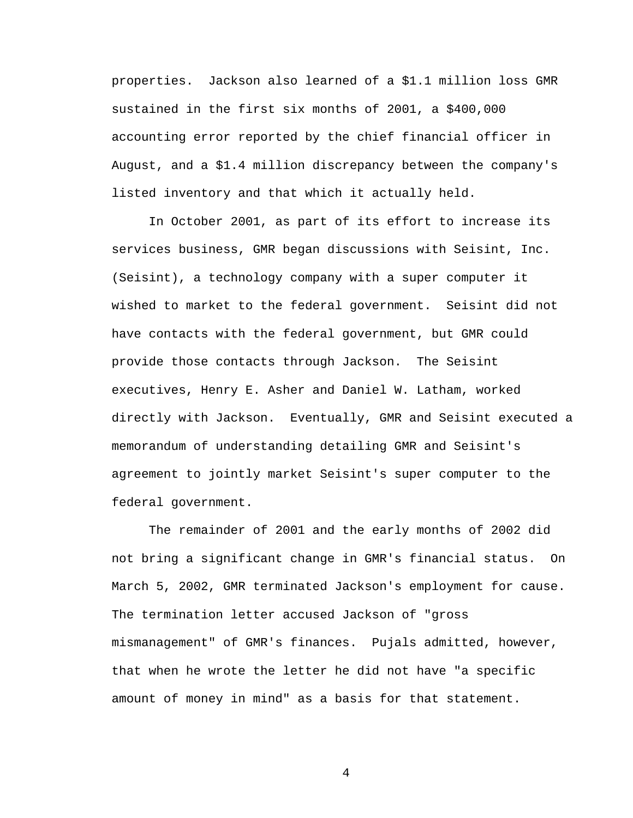properties. Jackson also learned of a \$1.1 million loss GMR sustained in the first six months of 2001, a \$400,000 accounting error reported by the chief financial officer in August, and a \$1.4 million discrepancy between the company's listed inventory and that which it actually held.

In October 2001, as part of its effort to increase its services business, GMR began discussions with Seisint, Inc. (Seisint), a technology company with a super computer it wished to market to the federal government. Seisint did not have contacts with the federal government, but GMR could provide those contacts through Jackson. The Seisint executives, Henry E. Asher and Daniel W. Latham, worked directly with Jackson. Eventually, GMR and Seisint executed a memorandum of understanding detailing GMR and Seisint's agreement to jointly market Seisint's super computer to the federal government.

The remainder of 2001 and the early months of 2002 did not bring a significant change in GMR's financial status. On March 5, 2002, GMR terminated Jackson's employment for cause. The termination letter accused Jackson of "gross mismanagement" of GMR's finances. Pujals admitted, however, that when he wrote the letter he did not have "a specific amount of money in mind" as a basis for that statement.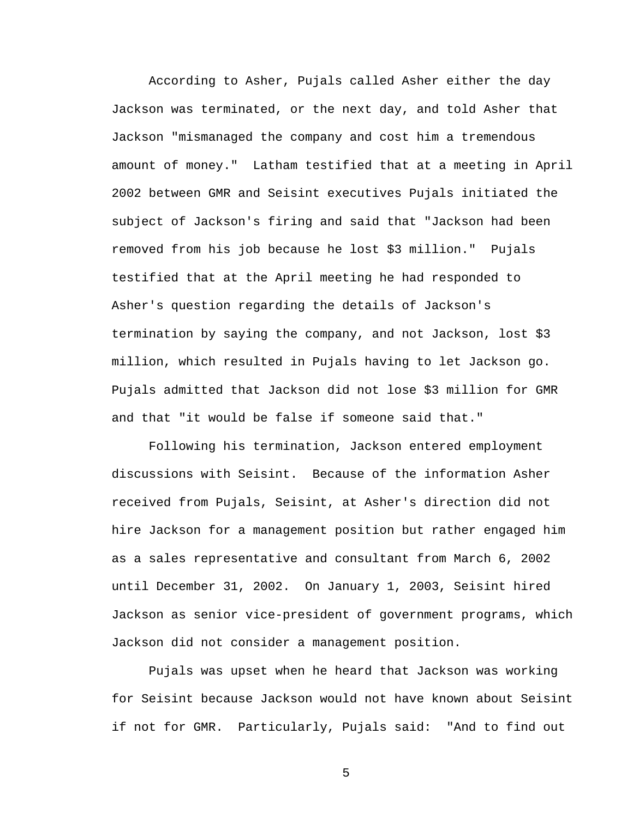According to Asher, Pujals called Asher either the day Jackson was terminated, or the next day, and told Asher that Jackson "mismanaged the company and cost him a tremendous amount of money." Latham testified that at a meeting in April 2002 between GMR and Seisint executives Pujals initiated the subject of Jackson's firing and said that "Jackson had been removed from his job because he lost \$3 million." Pujals testified that at the April meeting he had responded to Asher's question regarding the details of Jackson's termination by saying the company, and not Jackson, lost \$3 million, which resulted in Pujals having to let Jackson go. Pujals admitted that Jackson did not lose \$3 million for GMR and that "it would be false if someone said that."

Following his termination, Jackson entered employment discussions with Seisint. Because of the information Asher received from Pujals, Seisint, at Asher's direction did not hire Jackson for a management position but rather engaged him as a sales representative and consultant from March 6, 2002 until December 31, 2002. On January 1, 2003, Seisint hired Jackson as senior vice-president of government programs, which Jackson did not consider a management position.

Pujals was upset when he heard that Jackson was working for Seisint because Jackson would not have known about Seisint if not for GMR. Particularly, Pujals said: "And to find out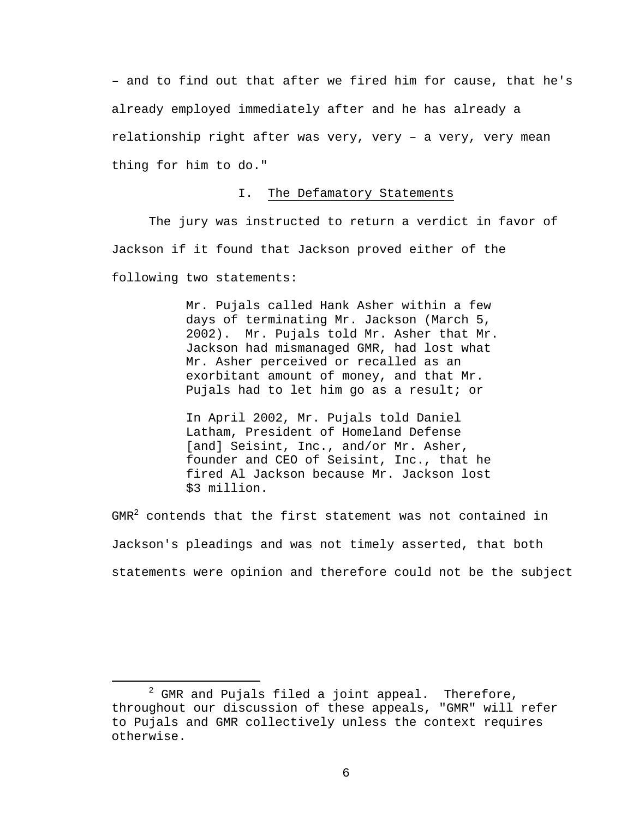– and to find out that after we fired him for cause, that he's already employed immediately after and he has already a relationship right after was very, very – a very, very mean thing for him to do."

## I. The Defamatory Statements

 The jury was instructed to return a verdict in favor of Jackson if it found that Jackson proved either of the following two statements:

> Mr. Pujals called Hank Asher within a few days of terminating Mr. Jackson (March 5, 2002). Mr. Pujals told Mr. Asher that Mr. Jackson had mismanaged GMR, had lost what Mr. Asher perceived or recalled as an exorbitant amount of money, and that Mr. Pujals had to let him go as a result; or

In April 2002, Mr. Pujals told Daniel Latham, President of Homeland Defense [and] Seisint, Inc., and/or Mr. Asher, founder and CEO of Seisint, Inc., that he fired Al Jackson because Mr. Jackson lost \$3 million.

GMR $^2$  contends that the first statement was not contained in Jackson's pleadings and was not timely asserted, that both statements were opinion and therefore could not be the subject

 $\overline{\phantom{a}}$  $2$  GMR and Pujals filed a joint appeal. Therefore, throughout our discussion of these appeals, "GMR" will refer to Pujals and GMR collectively unless the context requires otherwise.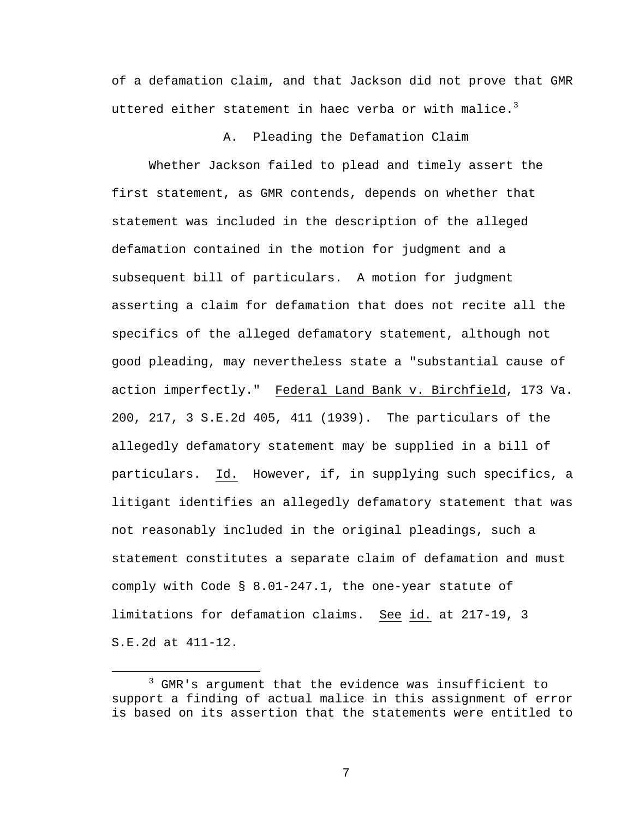of a defamation claim, and that Jackson did not prove that GMR uttered either statement in haec verba or with malice. $3$ 

A. Pleading the Defamation Claim

Whether Jackson failed to plead and timely assert the first statement, as GMR contends, depends on whether that statement was included in the description of the alleged defamation contained in the motion for judgment and a subsequent bill of particulars. A motion for judgment asserting a claim for defamation that does not recite all the specifics of the alleged defamatory statement, although not good pleading, may nevertheless state a "substantial cause of action imperfectly." Federal Land Bank v. Birchfield, 173 Va. 200, 217, 3 S.E.2d 405, 411 (1939). The particulars of the allegedly defamatory statement may be supplied in a bill of particulars. Id. However, if, in supplying such specifics, a litigant identifies an allegedly defamatory statement that was not reasonably included in the original pleadings, such a statement constitutes a separate claim of defamation and must comply with Code § 8.01-247.1, the one-year statute of limitations for defamation claims. See id. at 217-19, 3 S.E.2d at 411-12.

 $\overline{\phantom{a}}$  3 <sup>3</sup> GMR's argument that the evidence was insufficient to support a finding of actual malice in this assignment of error is based on its assertion that the statements were entitled to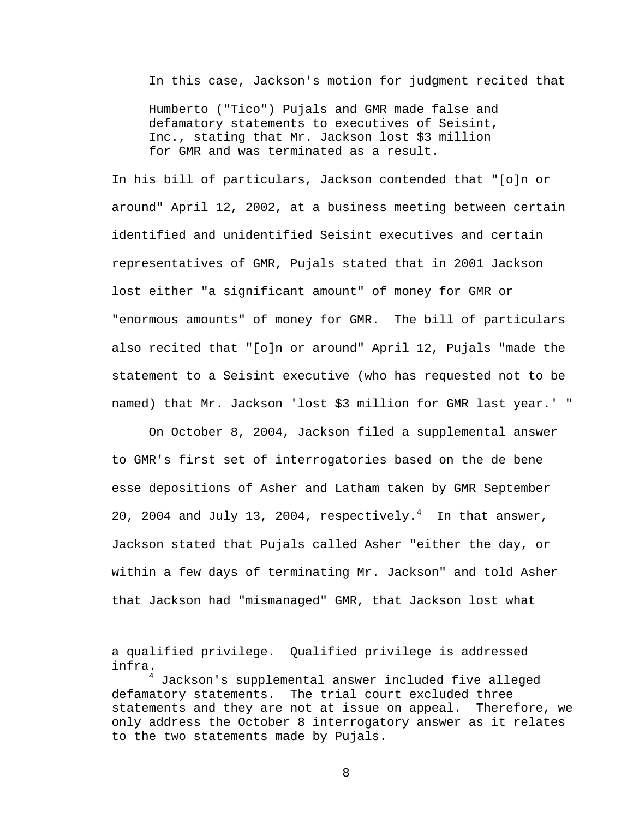In this case, Jackson's motion for judgment recited that

Humberto ("Tico") Pujals and GMR made false and defamatory statements to executives of Seisint, Inc., stating that Mr. Jackson lost \$3 million for GMR and was terminated as a result.

In his bill of particulars, Jackson contended that "[o]n or around" April 12, 2002, at a business meeting between certain identified and unidentified Seisint executives and certain representatives of GMR, Pujals stated that in 2001 Jackson lost either "a significant amount" of money for GMR or "enormous amounts" of money for GMR. The bill of particulars also recited that "[o]n or around" April 12, Pujals "made the statement to a Seisint executive (who has requested not to be named) that Mr. Jackson 'lost \$3 million for GMR last year.' "

 On October 8, 2004, Jackson filed a supplemental answer to GMR's first set of interrogatories based on the de bene esse depositions of Asher and Latham taken by GMR September 20, 2004 and July 13, 2004, respectively. $4$  In that answer, Jackson stated that Pujals called Asher "either the day, or within a few days of terminating Mr. Jackson" and told Asher that Jackson had "mismanaged" GMR, that Jackson lost what

a qualified privilege. Qualified privilege is addressed infra.

i

4 Jackson's supplemental answer included five alleged defamatory statements. The trial court excluded three statements and they are not at issue on appeal. Therefore, we only address the October 8 interrogatory answer as it relates to the two statements made by Pujals.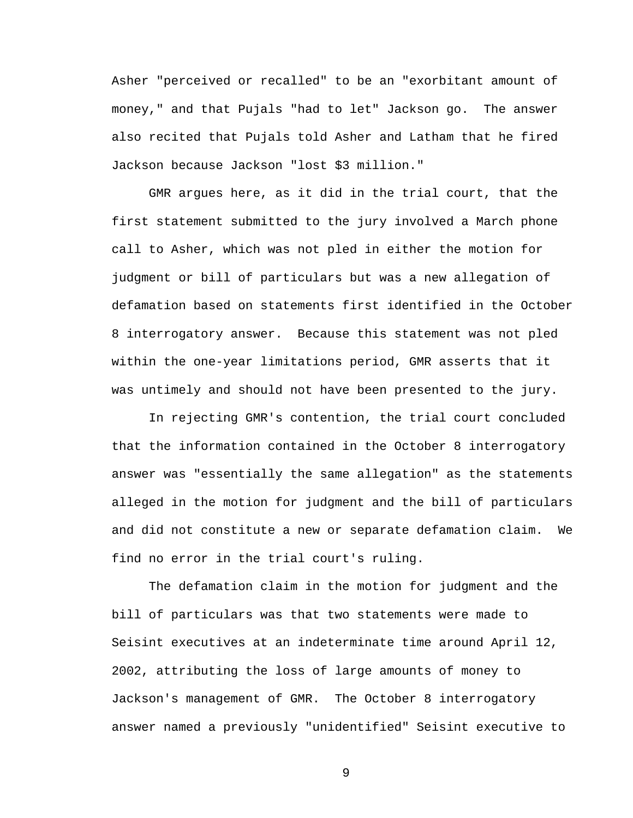Asher "perceived or recalled" to be an "exorbitant amount of money," and that Pujals "had to let" Jackson go. The answer also recited that Pujals told Asher and Latham that he fired Jackson because Jackson "lost \$3 million."

 GMR argues here, as it did in the trial court, that the first statement submitted to the jury involved a March phone call to Asher, which was not pled in either the motion for judgment or bill of particulars but was a new allegation of defamation based on statements first identified in the October 8 interrogatory answer. Because this statement was not pled within the one-year limitations period, GMR asserts that it was untimely and should not have been presented to the jury.

In rejecting GMR's contention, the trial court concluded that the information contained in the October 8 interrogatory answer was "essentially the same allegation" as the statements alleged in the motion for judgment and the bill of particulars and did not constitute a new or separate defamation claim. We find no error in the trial court's ruling.

The defamation claim in the motion for judgment and the bill of particulars was that two statements were made to Seisint executives at an indeterminate time around April 12, 2002, attributing the loss of large amounts of money to Jackson's management of GMR. The October 8 interrogatory answer named a previously "unidentified" Seisint executive to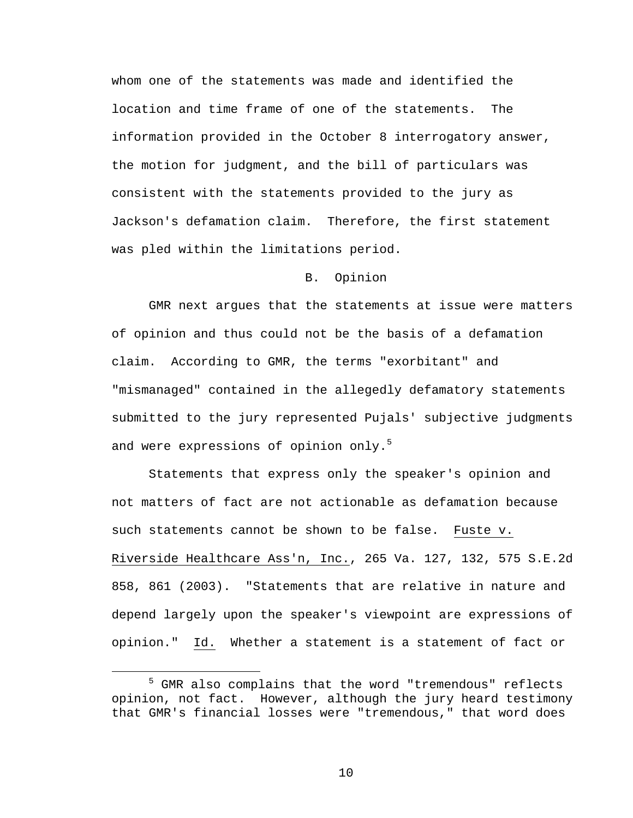whom one of the statements was made and identified the location and time frame of one of the statements. The information provided in the October 8 interrogatory answer, the motion for judgment, and the bill of particulars was consistent with the statements provided to the jury as Jackson's defamation claim. Therefore, the first statement was pled within the limitations period.

## B. Opinion

 GMR next argues that the statements at issue were matters of opinion and thus could not be the basis of a defamation claim. According to GMR, the terms "exorbitant" and "mismanaged" contained in the allegedly defamatory statements submitted to the jury represented Pujals' subjective judgments and were expressions of opinion only.<sup>5</sup>

 Statements that express only the speaker's opinion and not matters of fact are not actionable as defamation because such statements cannot be shown to be false. Fuste v. Riverside Healthcare Ass'n, Inc., 265 Va. 127, 132, 575 S.E.2d 858, 861 (2003). "Statements that are relative in nature and depend largely upon the speaker's viewpoint are expressions of opinion." Id. Whether a statement is a statement of fact or

 $\frac{1}{5}$ <sup>5</sup> GMR also complains that the word "tremendous" reflects opinion, not fact. However, although the jury heard testimony that GMR's financial losses were "tremendous," that word does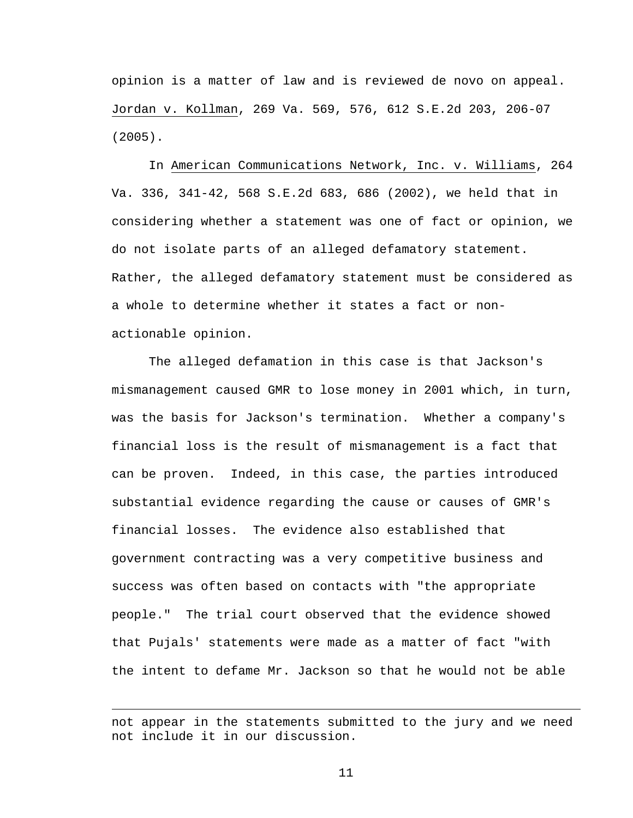opinion is a matter of law and is reviewed de novo on appeal. Jordan v. Kollman, 269 Va. 569, 576, 612 S.E.2d 203, 206-07 (2005).

In American Communications Network, Inc. v. Williams, 264 Va. 336, 341-42, 568 S.E.2d 683, 686 (2002), we held that in considering whether a statement was one of fact or opinion, we do not isolate parts of an alleged defamatory statement. Rather, the alleged defamatory statement must be considered as a whole to determine whether it states a fact or nonactionable opinion.

The alleged defamation in this case is that Jackson's mismanagement caused GMR to lose money in 2001 which, in turn, was the basis for Jackson's termination. Whether a company's financial loss is the result of mismanagement is a fact that can be proven. Indeed, in this case, the parties introduced substantial evidence regarding the cause or causes of GMR's financial losses. The evidence also established that government contracting was a very competitive business and success was often based on contacts with "the appropriate people." The trial court observed that the evidence showed that Pujals' statements were made as a matter of fact "with the intent to defame Mr. Jackson so that he would not be able

i<br>Li

not appear in the statements submitted to the jury and we need not include it in our discussion.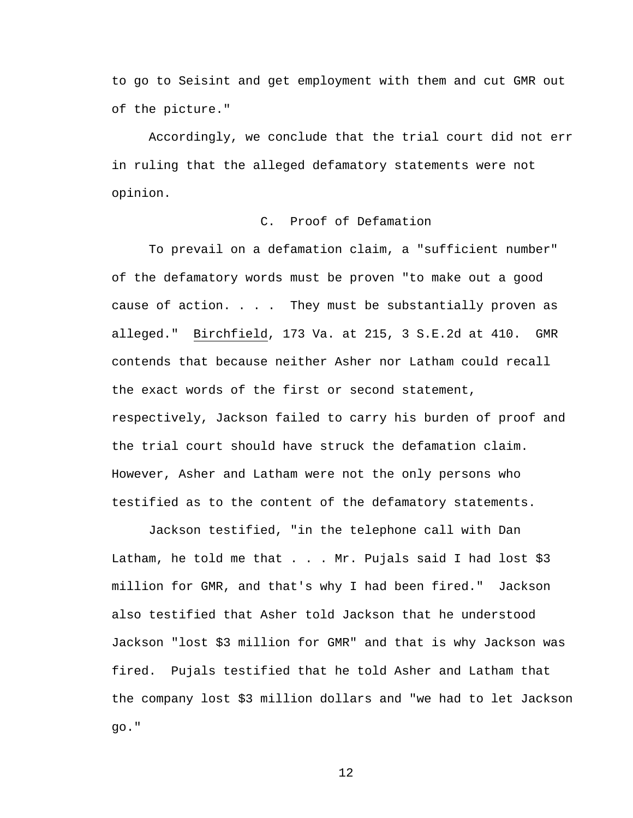to go to Seisint and get employment with them and cut GMR out of the picture."

Accordingly, we conclude that the trial court did not err in ruling that the alleged defamatory statements were not opinion.

## C. Proof of Defamation

 To prevail on a defamation claim, a "sufficient number" of the defamatory words must be proven "to make out a good cause of action. . . . They must be substantially proven as alleged." Birchfield, 173 Va. at 215, 3 S.E.2d at 410. GMR contends that because neither Asher nor Latham could recall the exact words of the first or second statement, respectively, Jackson failed to carry his burden of proof and the trial court should have struck the defamation claim. However, Asher and Latham were not the only persons who testified as to the content of the defamatory statements.

Jackson testified, "in the telephone call with Dan Latham, he told me that  $\ldots$  Mr. Pujals said I had lost \$3 million for GMR, and that's why I had been fired." Jackson also testified that Asher told Jackson that he understood Jackson "lost \$3 million for GMR" and that is why Jackson was fired. Pujals testified that he told Asher and Latham that the company lost \$3 million dollars and "we had to let Jackson go."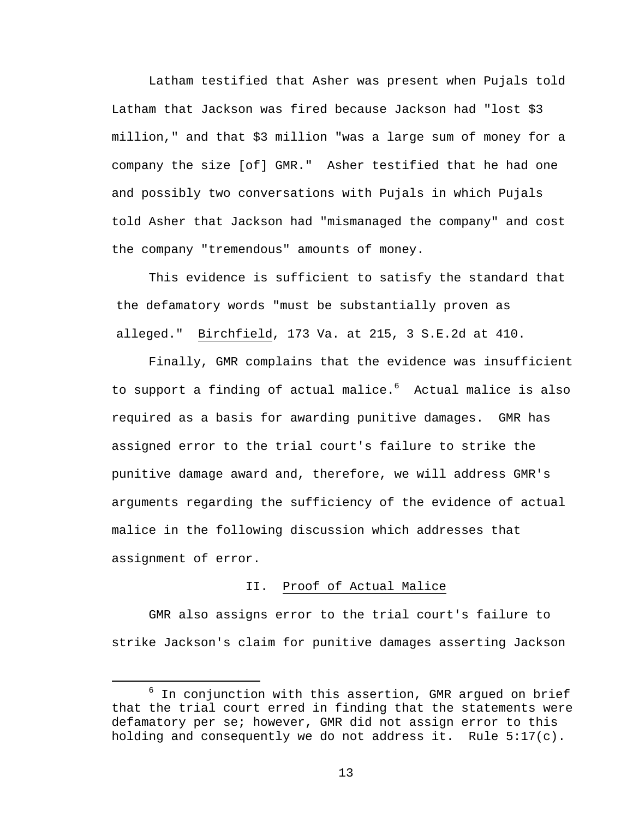Latham testified that Asher was present when Pujals told Latham that Jackson was fired because Jackson had "lost \$3 million," and that \$3 million "was a large sum of money for a company the size [of] GMR." Asher testified that he had one and possibly two conversations with Pujals in which Pujals told Asher that Jackson had "mismanaged the company" and cost the company "tremendous" amounts of money.

 This evidence is sufficient to satisfy the standard that the defamatory words "must be substantially proven as alleged." Birchfield, 173 Va. at 215, 3 S.E.2d at 410.

Finally, GMR complains that the evidence was insufficient to support a finding of actual malice.<sup>6</sup> Actual malice is also required as a basis for awarding punitive damages. GMR has assigned error to the trial court's failure to strike the punitive damage award and, therefore, we will address GMR's arguments regarding the sufficiency of the evidence of actual malice in the following discussion which addresses that assignment of error.

# II. Proof of Actual Malice

 GMR also assigns error to the trial court's failure to strike Jackson's claim for punitive damages asserting Jackson

 $\overline{6}$  $6$  In conjunction with this assertion, GMR argued on brief that the trial court erred in finding that the statements were defamatory per se; however, GMR did not assign error to this holding and consequently we do not address it. Rule 5:17(c).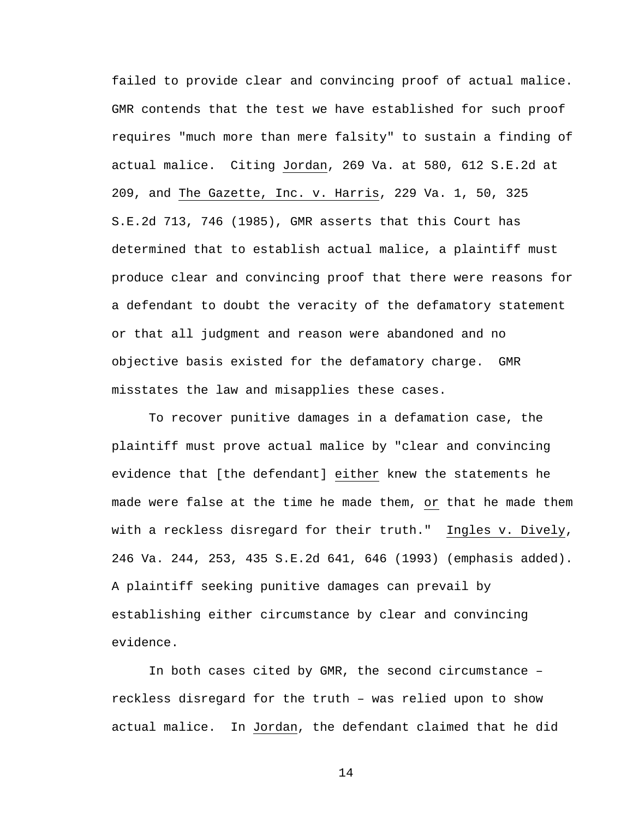failed to provide clear and convincing proof of actual malice. GMR contends that the test we have established for such proof requires "much more than mere falsity" to sustain a finding of actual malice. Citing Jordan, 269 Va. at 580, 612 S.E.2d at 209, and The Gazette, Inc. v. Harris, 229 Va. 1, 50, 325 S.E.2d 713, 746 (1985), GMR asserts that this Court has determined that to establish actual malice, a plaintiff must produce clear and convincing proof that there were reasons for a defendant to doubt the veracity of the defamatory statement or that all judgment and reason were abandoned and no objective basis existed for the defamatory charge. GMR misstates the law and misapplies these cases.

To recover punitive damages in a defamation case, the plaintiff must prove actual malice by "clear and convincing evidence that [the defendant] either knew the statements he made were false at the time he made them, or that he made them with a reckless disregard for their truth." Ingles v. Dively, 246 Va. 244, 253, 435 S.E.2d 641, 646 (1993) (emphasis added). A plaintiff seeking punitive damages can prevail by establishing either circumstance by clear and convincing evidence.

 In both cases cited by GMR, the second circumstance – reckless disregard for the truth – was relied upon to show actual malice. In Jordan, the defendant claimed that he did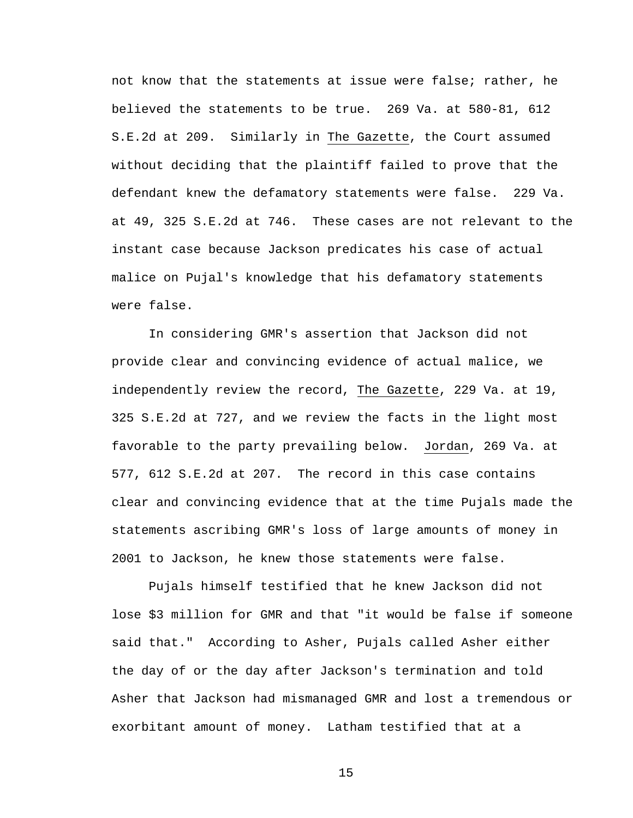not know that the statements at issue were false; rather, he believed the statements to be true. 269 Va. at 580-81, 612 S.E.2d at 209. Similarly in The Gazette, the Court assumed without deciding that the plaintiff failed to prove that the defendant knew the defamatory statements were false. 229 Va. at 49, 325 S.E.2d at 746. These cases are not relevant to the instant case because Jackson predicates his case of actual malice on Pujal's knowledge that his defamatory statements were false.

 In considering GMR's assertion that Jackson did not provide clear and convincing evidence of actual malice, we independently review the record, The Gazette, 229 Va. at 19, 325 S.E.2d at 727, and we review the facts in the light most favorable to the party prevailing below. Jordan, 269 Va. at 577, 612 S.E.2d at 207. The record in this case contains clear and convincing evidence that at the time Pujals made the statements ascribing GMR's loss of large amounts of money in 2001 to Jackson, he knew those statements were false.

Pujals himself testified that he knew Jackson did not lose \$3 million for GMR and that "it would be false if someone said that." According to Asher, Pujals called Asher either the day of or the day after Jackson's termination and told Asher that Jackson had mismanaged GMR and lost a tremendous or exorbitant amount of money. Latham testified that at a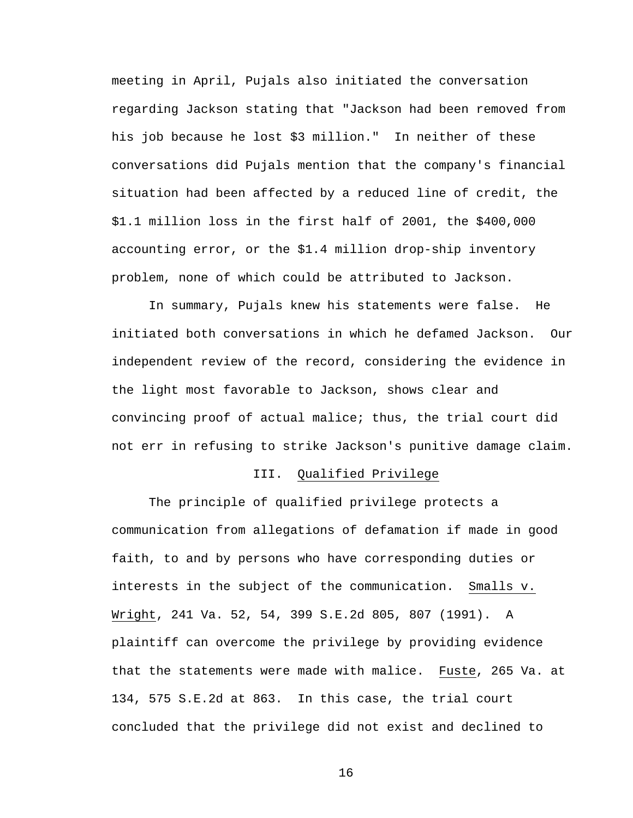meeting in April, Pujals also initiated the conversation regarding Jackson stating that "Jackson had been removed from his job because he lost \$3 million." In neither of these conversations did Pujals mention that the company's financial situation had been affected by a reduced line of credit, the \$1.1 million loss in the first half of 2001, the \$400,000 accounting error, or the \$1.4 million drop-ship inventory problem, none of which could be attributed to Jackson.

 In summary, Pujals knew his statements were false. He initiated both conversations in which he defamed Jackson. Our independent review of the record, considering the evidence in the light most favorable to Jackson, shows clear and convincing proof of actual malice; thus, the trial court did not err in refusing to strike Jackson's punitive damage claim.

## III. Qualified Privilege

 The principle of qualified privilege protects a communication from allegations of defamation if made in good faith, to and by persons who have corresponding duties or interests in the subject of the communication. Smalls v. Wright, 241 Va. 52, 54, 399 S.E.2d 805, 807 (1991). A plaintiff can overcome the privilege by providing evidence that the statements were made with malice. Fuste, 265 Va. at 134, 575 S.E.2d at 863. In this case, the trial court concluded that the privilege did not exist and declined to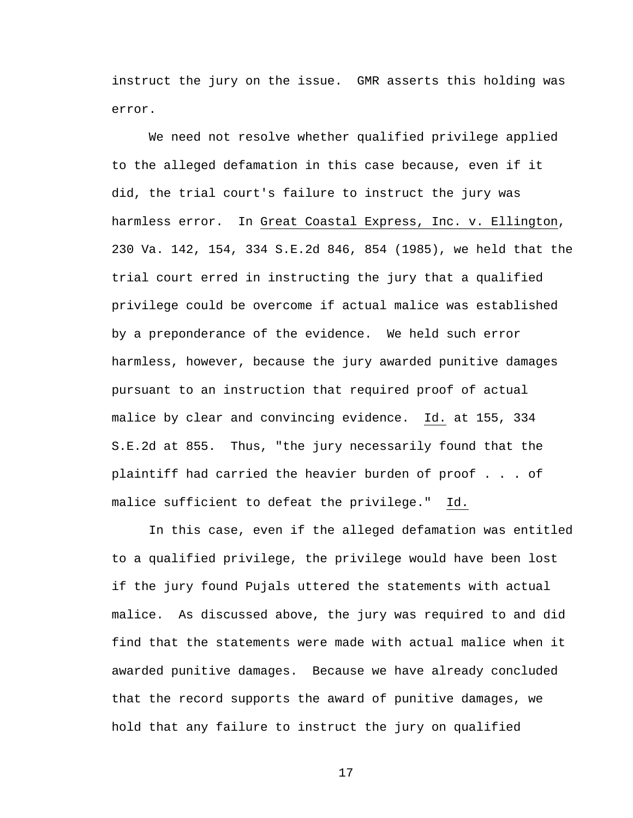instruct the jury on the issue. GMR asserts this holding was error.

We need not resolve whether qualified privilege applied to the alleged defamation in this case because, even if it did, the trial court's failure to instruct the jury was harmless error. In Great Coastal Express, Inc. v. Ellington, 230 Va. 142, 154, 334 S.E.2d 846, 854 (1985), we held that the trial court erred in instructing the jury that a qualified privilege could be overcome if actual malice was established by a preponderance of the evidence. We held such error harmless, however, because the jury awarded punitive damages pursuant to an instruction that required proof of actual malice by clear and convincing evidence. Id. at 155, 334 S.E.2d at 855. Thus, "the jury necessarily found that the plaintiff had carried the heavier burden of proof . . . of malice sufficient to defeat the privilege." Id.

In this case, even if the alleged defamation was entitled to a qualified privilege, the privilege would have been lost if the jury found Pujals uttered the statements with actual malice. As discussed above, the jury was required to and did find that the statements were made with actual malice when it awarded punitive damages. Because we have already concluded that the record supports the award of punitive damages, we hold that any failure to instruct the jury on qualified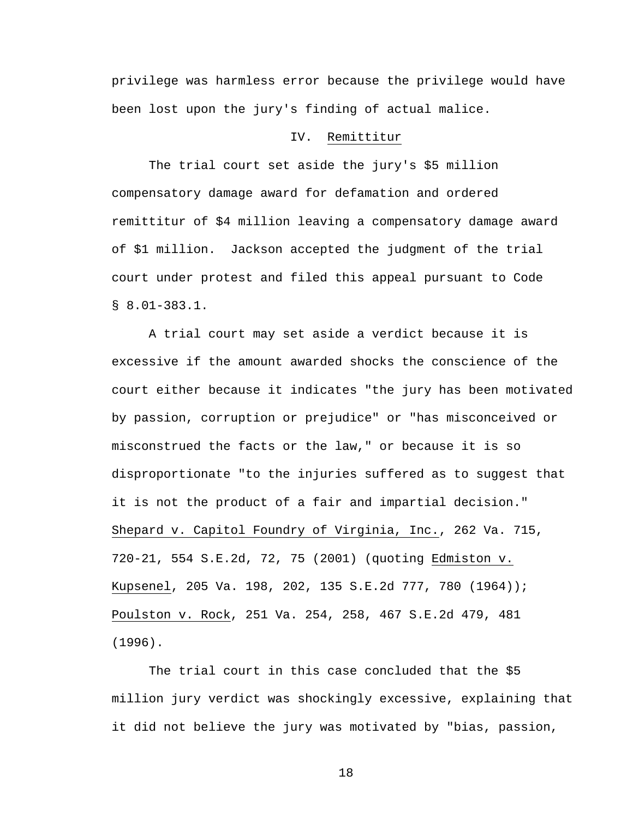privilege was harmless error because the privilege would have been lost upon the jury's finding of actual malice.

# IV. Remittitur

 The trial court set aside the jury's \$5 million compensatory damage award for defamation and ordered remittitur of \$4 million leaving a compensatory damage award of \$1 million. Jackson accepted the judgment of the trial court under protest and filed this appeal pursuant to Code § 8.01-383.1.

 A trial court may set aside a verdict because it is excessive if the amount awarded shocks the conscience of the court either because it indicates "the jury has been motivated by passion, corruption or prejudice" or "has misconceived or misconstrued the facts or the law," or because it is so disproportionate "to the injuries suffered as to suggest that it is not the product of a fair and impartial decision." Shepard v. Capitol Foundry of Virginia, Inc., 262 Va. 715, 720-21, 554 S.E.2d, 72, 75 (2001) (quoting Edmiston v. Kupsenel, 205 Va. 198, 202, 135 S.E.2d 777, 780 (1964)); Poulston v. Rock, 251 Va. 254, 258, 467 S.E.2d 479, 481 (1996).

The trial court in this case concluded that the \$5 million jury verdict was shockingly excessive, explaining that it did not believe the jury was motivated by "bias, passion,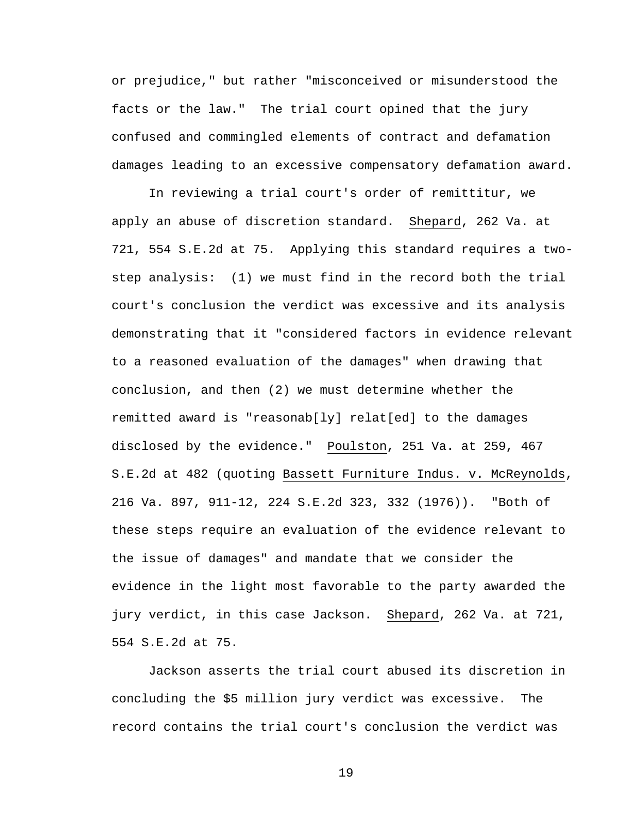or prejudice," but rather "misconceived or misunderstood the facts or the law." The trial court opined that the jury confused and commingled elements of contract and defamation damages leading to an excessive compensatory defamation award.

 In reviewing a trial court's order of remittitur, we apply an abuse of discretion standard. Shepard, 262 Va. at 721, 554 S.E.2d at 75. Applying this standard requires a twostep analysis: (1) we must find in the record both the trial court's conclusion the verdict was excessive and its analysis demonstrating that it "considered factors in evidence relevant to a reasoned evaluation of the damages" when drawing that conclusion, and then (2) we must determine whether the remitted award is "reasonab[ly] relat[ed] to the damages disclosed by the evidence." Poulston, 251 Va. at 259, 467 S.E.2d at 482 (quoting Bassett Furniture Indus. v. McReynolds, 216 Va. 897, 911-12, 224 S.E.2d 323, 332 (1976)). "Both of these steps require an evaluation of the evidence relevant to the issue of damages" and mandate that we consider the evidence in the light most favorable to the party awarded the jury verdict, in this case Jackson. Shepard, 262 Va. at 721, 554 S.E.2d at 75.

Jackson asserts the trial court abused its discretion in concluding the \$5 million jury verdict was excessive. The record contains the trial court's conclusion the verdict was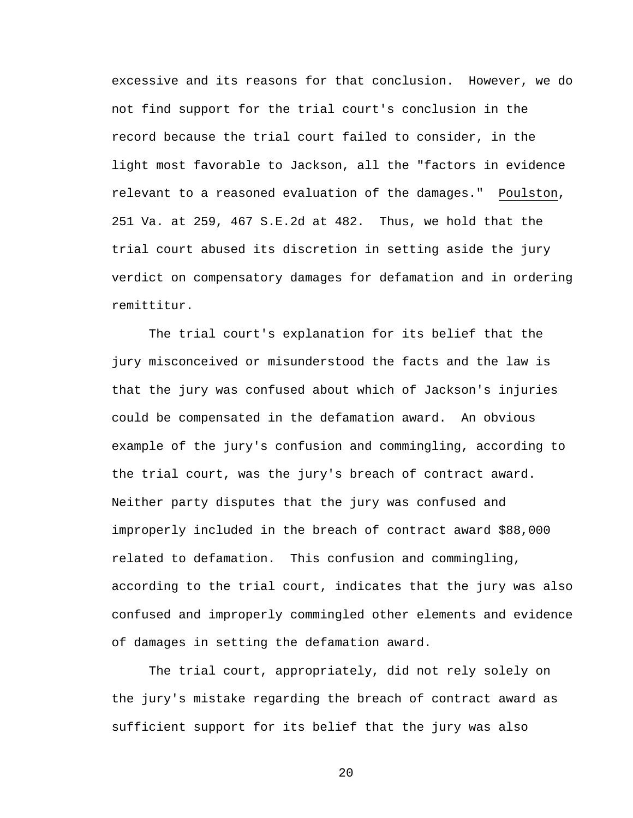excessive and its reasons for that conclusion. However, we do not find support for the trial court's conclusion in the record because the trial court failed to consider, in the light most favorable to Jackson, all the "factors in evidence relevant to a reasoned evaluation of the damages." Poulston, 251 Va. at 259, 467 S.E.2d at 482. Thus, we hold that the trial court abused its discretion in setting aside the jury verdict on compensatory damages for defamation and in ordering remittitur.

The trial court's explanation for its belief that the jury misconceived or misunderstood the facts and the law is that the jury was confused about which of Jackson's injuries could be compensated in the defamation award. An obvious example of the jury's confusion and commingling, according to the trial court, was the jury's breach of contract award. Neither party disputes that the jury was confused and improperly included in the breach of contract award \$88,000 related to defamation. This confusion and commingling, according to the trial court, indicates that the jury was also confused and improperly commingled other elements and evidence of damages in setting the defamation award.

The trial court, appropriately, did not rely solely on the jury's mistake regarding the breach of contract award as sufficient support for its belief that the jury was also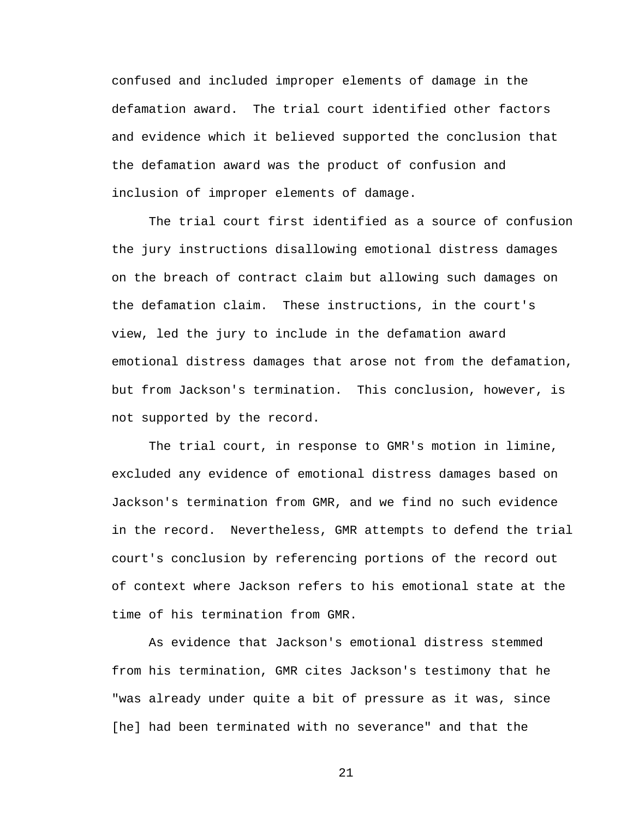confused and included improper elements of damage in the defamation award. The trial court identified other factors and evidence which it believed supported the conclusion that the defamation award was the product of confusion and inclusion of improper elements of damage.

The trial court first identified as a source of confusion the jury instructions disallowing emotional distress damages on the breach of contract claim but allowing such damages on the defamation claim. These instructions, in the court's view, led the jury to include in the defamation award emotional distress damages that arose not from the defamation, but from Jackson's termination. This conclusion, however, is not supported by the record.

The trial court, in response to GMR's motion in limine, excluded any evidence of emotional distress damages based on Jackson's termination from GMR, and we find no such evidence in the record. Nevertheless, GMR attempts to defend the trial court's conclusion by referencing portions of the record out of context where Jackson refers to his emotional state at the time of his termination from GMR.

As evidence that Jackson's emotional distress stemmed from his termination, GMR cites Jackson's testimony that he "was already under quite a bit of pressure as it was, since [he] had been terminated with no severance" and that the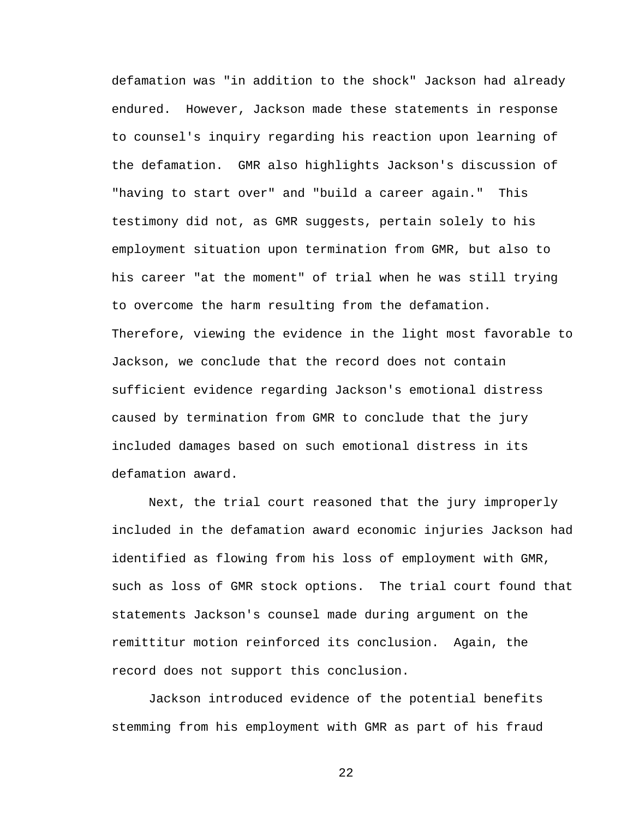defamation was "in addition to the shock" Jackson had already endured. However, Jackson made these statements in response to counsel's inquiry regarding his reaction upon learning of the defamation. GMR also highlights Jackson's discussion of "having to start over" and "build a career again." This testimony did not, as GMR suggests, pertain solely to his employment situation upon termination from GMR, but also to his career "at the moment" of trial when he was still trying to overcome the harm resulting from the defamation. Therefore, viewing the evidence in the light most favorable to Jackson, we conclude that the record does not contain sufficient evidence regarding Jackson's emotional distress caused by termination from GMR to conclude that the jury included damages based on such emotional distress in its defamation award.

 Next, the trial court reasoned that the jury improperly included in the defamation award economic injuries Jackson had identified as flowing from his loss of employment with GMR, such as loss of GMR stock options. The trial court found that statements Jackson's counsel made during argument on the remittitur motion reinforced its conclusion. Again, the record does not support this conclusion.

 Jackson introduced evidence of the potential benefits stemming from his employment with GMR as part of his fraud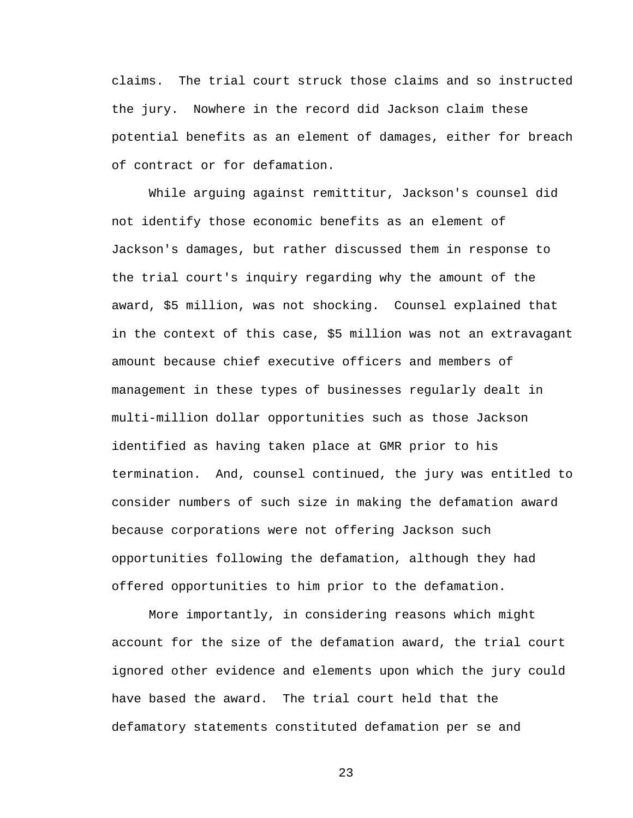claims. The trial court struck those claims and so instructed the jury. Nowhere in the record did Jackson claim these potential benefits as an element of damages, either for breach of contract or for defamation.

While arguing against remittitur, Jackson's counsel did not identify those economic benefits as an element of Jackson's damages, but rather discussed them in response to the trial court's inquiry regarding why the amount of the award, \$5 million, was not shocking. Counsel explained that in the context of this case, \$5 million was not an extravagant amount because chief executive officers and members of management in these types of businesses regularly dealt in multi-million dollar opportunities such as those Jackson identified as having taken place at GMR prior to his termination. And, counsel continued, the jury was entitled to consider numbers of such size in making the defamation award because corporations were not offering Jackson such opportunities following the defamation, although they had offered opportunities to him prior to the defamation.

 More importantly, in considering reasons which might account for the size of the defamation award, the trial court ignored other evidence and elements upon which the jury could have based the award. The trial court held that the defamatory statements constituted defamation per se and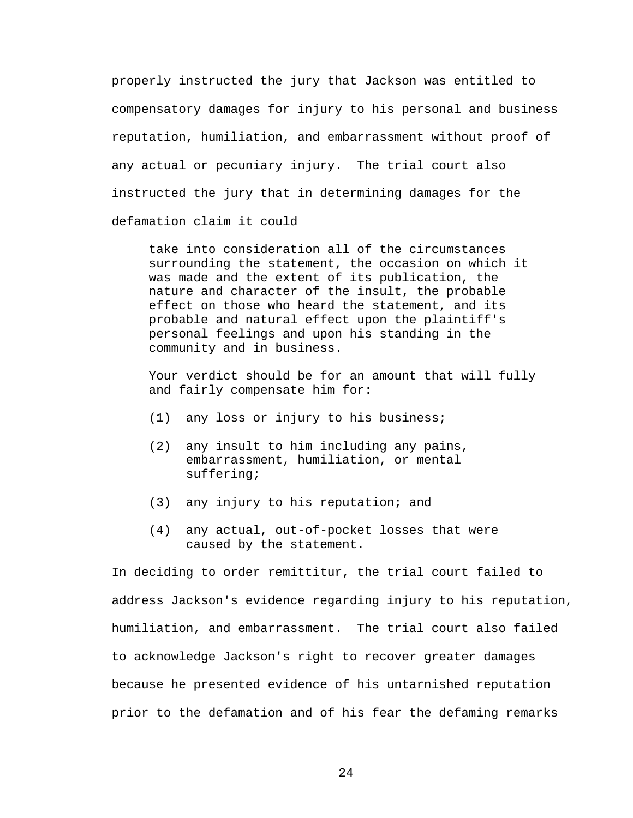properly instructed the jury that Jackson was entitled to compensatory damages for injury to his personal and business reputation, humiliation, and embarrassment without proof of any actual or pecuniary injury. The trial court also instructed the jury that in determining damages for the defamation claim it could

take into consideration all of the circumstances surrounding the statement, the occasion on which it was made and the extent of its publication, the nature and character of the insult, the probable effect on those who heard the statement, and its probable and natural effect upon the plaintiff's personal feelings and upon his standing in the community and in business.

Your verdict should be for an amount that will fully and fairly compensate him for:

- (1) any loss or injury to his business;
- (2) any insult to him including any pains, embarrassment, humiliation, or mental suffering;
- (3) any injury to his reputation; and
- (4) any actual, out-of-pocket losses that were caused by the statement.

In deciding to order remittitur, the trial court failed to address Jackson's evidence regarding injury to his reputation, humiliation, and embarrassment. The trial court also failed to acknowledge Jackson's right to recover greater damages because he presented evidence of his untarnished reputation prior to the defamation and of his fear the defaming remarks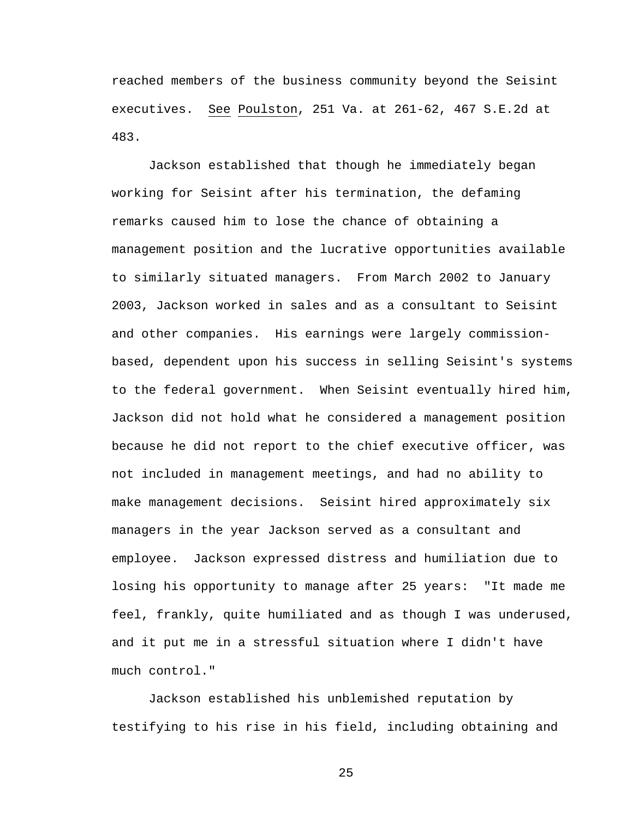reached members of the business community beyond the Seisint executives. See Poulston, 251 Va. at 261-62, 467 S.E.2d at 483.

Jackson established that though he immediately began working for Seisint after his termination, the defaming remarks caused him to lose the chance of obtaining a management position and the lucrative opportunities available to similarly situated managers. From March 2002 to January 2003, Jackson worked in sales and as a consultant to Seisint and other companies. His earnings were largely commissionbased, dependent upon his success in selling Seisint's systems to the federal government. When Seisint eventually hired him, Jackson did not hold what he considered a management position because he did not report to the chief executive officer, was not included in management meetings, and had no ability to make management decisions. Seisint hired approximately six managers in the year Jackson served as a consultant and employee. Jackson expressed distress and humiliation due to losing his opportunity to manage after 25 years: "It made me feel, frankly, quite humiliated and as though I was underused, and it put me in a stressful situation where I didn't have much control."

Jackson established his unblemished reputation by testifying to his rise in his field, including obtaining and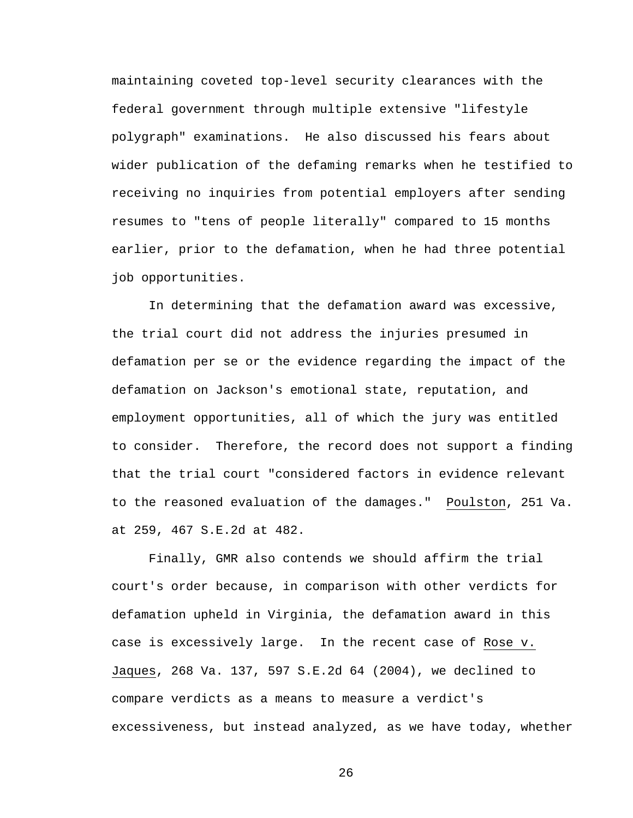maintaining coveted top-level security clearances with the federal government through multiple extensive "lifestyle polygraph" examinations. He also discussed his fears about wider publication of the defaming remarks when he testified to receiving no inquiries from potential employers after sending resumes to "tens of people literally" compared to 15 months earlier, prior to the defamation, when he had three potential job opportunities.

In determining that the defamation award was excessive, the trial court did not address the injuries presumed in defamation per se or the evidence regarding the impact of the defamation on Jackson's emotional state, reputation, and employment opportunities, all of which the jury was entitled to consider. Therefore, the record does not support a finding that the trial court "considered factors in evidence relevant to the reasoned evaluation of the damages." Poulston, 251 Va. at 259, 467 S.E.2d at 482.

Finally, GMR also contends we should affirm the trial court's order because, in comparison with other verdicts for defamation upheld in Virginia, the defamation award in this case is excessively large. In the recent case of Rose v. Jaques, 268 Va. 137, 597 S.E.2d 64 (2004), we declined to compare verdicts as a means to measure a verdict's excessiveness, but instead analyzed, as we have today, whether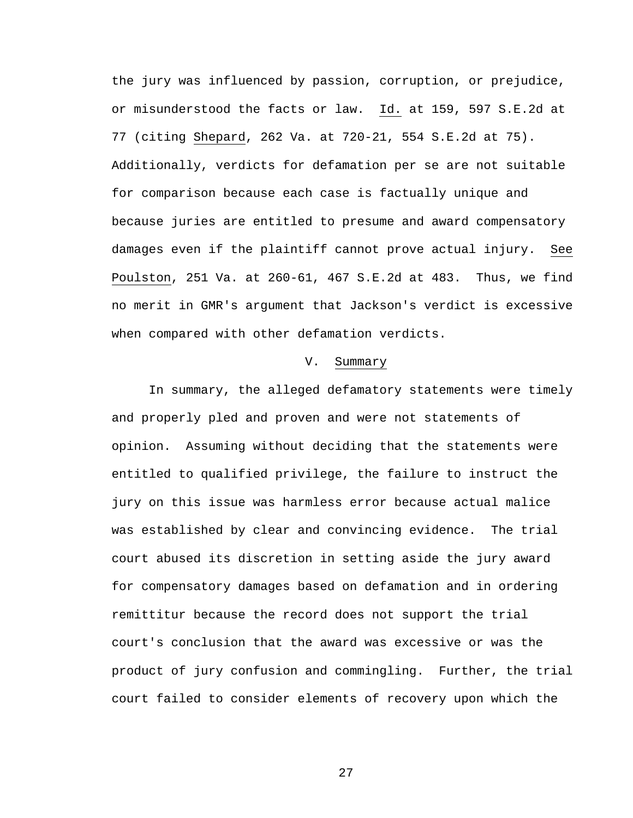the jury was influenced by passion, corruption, or prejudice, or misunderstood the facts or law. Id. at 159, 597 S.E.2d at 77 (citing Shepard, 262 Va. at 720-21, 554 S.E.2d at 75). Additionally, verdicts for defamation per se are not suitable for comparison because each case is factually unique and because juries are entitled to presume and award compensatory damages even if the plaintiff cannot prove actual injury. See Poulston, 251 Va. at 260-61, 467 S.E.2d at 483. Thus, we find no merit in GMR's argument that Jackson's verdict is excessive when compared with other defamation verdicts.

#### V. Summary

In summary, the alleged defamatory statements were timely and properly pled and proven and were not statements of opinion. Assuming without deciding that the statements were entitled to qualified privilege, the failure to instruct the jury on this issue was harmless error because actual malice was established by clear and convincing evidence. The trial court abused its discretion in setting aside the jury award for compensatory damages based on defamation and in ordering remittitur because the record does not support the trial court's conclusion that the award was excessive or was the product of jury confusion and commingling. Further, the trial court failed to consider elements of recovery upon which the